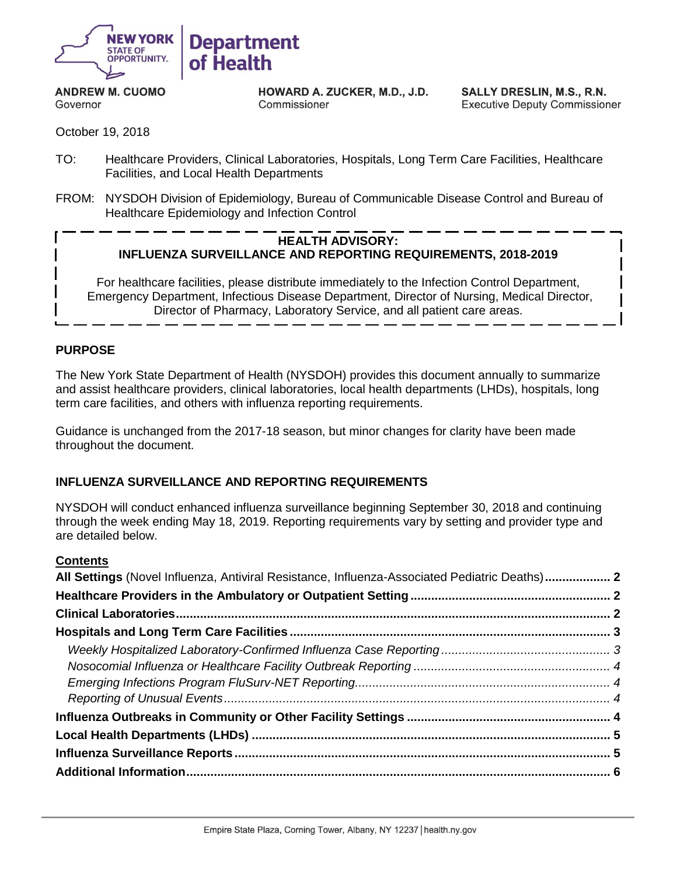

**ANDREW M. CUOMO** Governor

HOWARD A. ZUCKER, M.D., J.D. Commissioner

SALLY DRESLIN, M.S., R.N. **Executive Deputy Commissioner** 

October 19, 2018

- TO: Healthcare Providers, Clinical Laboratories, Hospitals, Long Term Care Facilities, Healthcare Facilities, and Local Health Departments
- FROM: NYSDOH Division of Epidemiology, Bureau of Communicable Disease Control and Bureau of Healthcare Epidemiology and Infection Control

#### **HEALTH ADVISORY: INFLUENZA SURVEILLANCE AND REPORTING REQUIREMENTS, 2018-2019**

For healthcare facilities, please distribute immediately to the Infection Control Department, Emergency Department, Infectious Disease Department, Director of Nursing, Medical Director, Director of Pharmacy, Laboratory Service, and all patient care areas.

### **PURPOSE**

The New York State Department of Health (NYSDOH) provides this document annually to summarize and assist healthcare providers, clinical laboratories, local health departments (LHDs), hospitals, long term care facilities, and others with influenza reporting requirements.

Guidance is unchanged from the 2017-18 season, but minor changes for clarity have been made throughout the document.

#### **INFLUENZA SURVEILLANCE AND REPORTING REQUIREMENTS**

NYSDOH will conduct enhanced influenza surveillance beginning September 30, 2018 and continuing through the week ending May 18, 2019. Reporting requirements vary by setting and provider type and are detailed below.

#### **Contents**

| All Settings (Novel Influenza, Antiviral Resistance, Influenza-Associated Pediatric Deaths) 2 |  |
|-----------------------------------------------------------------------------------------------|--|
|                                                                                               |  |
|                                                                                               |  |
|                                                                                               |  |
|                                                                                               |  |
|                                                                                               |  |
|                                                                                               |  |
|                                                                                               |  |
|                                                                                               |  |
|                                                                                               |  |
|                                                                                               |  |
|                                                                                               |  |
|                                                                                               |  |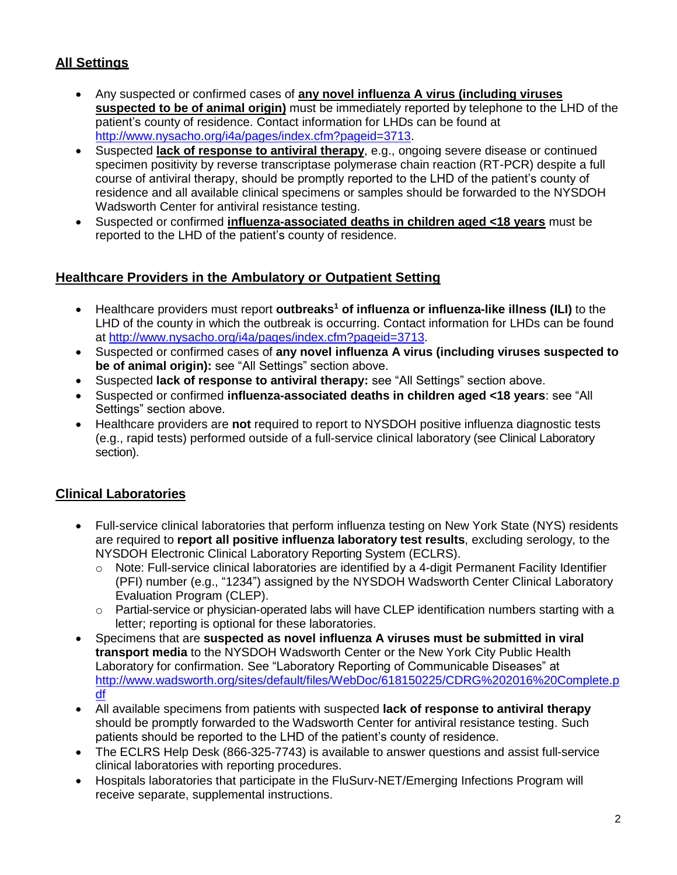# <span id="page-1-0"></span>**All Settings**

- Any suspected or confirmed cases of **any novel influenza A virus (including viruses suspected to be of animal origin)** must be immediately reported by telephone to the LHD of the patient's county of residence. Contact information for LHDs can be found at [http://www.nysacho.org/i4a/pages/index.cfm?pageid=3713.](http://www.nysacho.org/i4a/pages/index.cfm?pageid=3713)
- Suspected **lack of response to antiviral therapy**, e.g., ongoing severe disease or continued specimen positivity by reverse transcriptase polymerase chain reaction (RT-PCR) despite a full course of antiviral therapy, should be promptly reported to the LHD of the patient's county of residence and all available clinical specimens or samples should be forwarded to the NYSDOH Wadsworth Center for antiviral resistance testing.
- Suspected or confirmed **influenza-associated deaths in children aged <18 years** must be reported to the LHD of the patient's county of residence.

## <span id="page-1-1"></span>**Healthcare Providers in the Ambulatory or Outpatient Setting**

- <span id="page-1-3"></span>• Healthcare providers must report **outbreaks <sup>1</sup> of influenza or influenza-like illness (ILI)** to the LHD of the county in which the outbreak is occurring. Contact information for LHDs can be found at [http://www.nysacho.org/i4a/pages/index.cfm?pageid=3713.](http://www.nysacho.org/i4a/pages/index.cfm?pageid=3713)
- Suspected or confirmed cases of **any novel influenza A virus (including viruses suspected to be of animal origin):** see "All Settings" section above.
- Suspected **lack of response to antiviral therapy:** see "All Settings" section above.
- Suspected or confirmed **influenza-associated deaths in children aged <18 years**: see "All Settings" section above.
- Healthcare providers are **not** required to report to NYSDOH positive influenza diagnostic tests (e.g., rapid tests) performed outside of a full-service clinical laboratory (see Clinical Laboratory section).

# <span id="page-1-2"></span>**Clinical Laboratories**

- Full-service clinical laboratories that perform influenza testing on New York State (NYS) residents are required to **report all positive influenza laboratory test results**, excluding serology, to the NYSDOH Electronic Clinical Laboratory Reporting System (ECLRS).
	- $\circ$  Note: Full-service clinical laboratories are identified by a 4-digit Permanent Facility Identifier (PFI) number (e.g., "1234") assigned by the NYSDOH Wadsworth Center Clinical Laboratory Evaluation Program (CLEP).
	- $\circ$  Partial-service or physician-operated labs will have CLEP identification numbers starting with a letter; reporting is optional for these laboratories.
- Specimens that are **suspected as novel influenza A viruses must be submitted in viral transport media** to the NYSDOH Wadsworth Center or the New York City Public Health Laboratory for confirmation. See "Laboratory Reporting of Communicable Diseases" at [http://www.wadsworth.org/sites/default/files/WebDoc/618150225/CDRG%202016%20Complete.p](http://www.wadsworth.org/sites/default/files/WebDoc/618150225/CDRG%202016%20Complete.pdf) [df](http://www.wadsworth.org/sites/default/files/WebDoc/618150225/CDRG%202016%20Complete.pdf)
- All available specimens from patients with suspected **lack of response to antiviral therapy** should be promptly forwarded to the Wadsworth Center for antiviral resistance testing. Such patients should be reported to the LHD of the patient's county of residence.
- The ECLRS Help Desk (866-325-7743) is available to answer questions and assist full-service clinical laboratories with reporting procedures.
- Hospitals laboratories that participate in the FluSurv-NET/Emerging Infections Program will receive separate, supplemental instructions.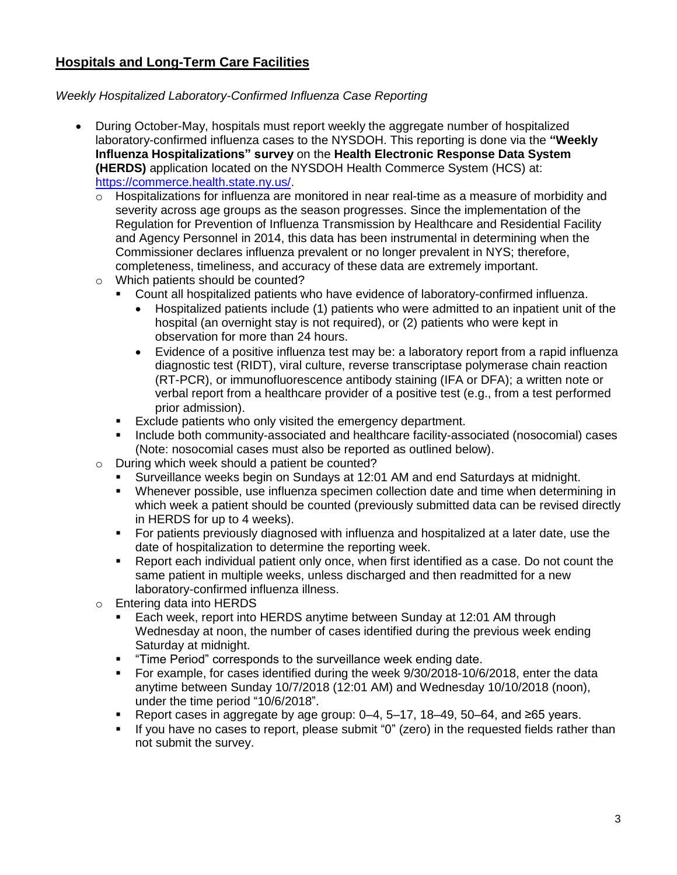## <span id="page-2-0"></span>**Hospitals and Long-Term Care Facilities**

### <span id="page-2-1"></span>*Weekly Hospitalized Laboratory-Confirmed Influenza Case Reporting*

- During October-May, hospitals must report weekly the aggregate number of hospitalized laboratory-confirmed influenza cases to the NYSDOH. This reporting is done via the **"Weekly Influenza Hospitalizations" survey** on the **Health Electronic Response Data System (HERDS)** application located on the NYSDOH Health Commerce System (HCS) at: [https://commerce.health.state.ny.us/.](https://commerce.health.state.ny.us/)
	- $\circ$  Hospitalizations for influenza are monitored in near real-time as a measure of morbidity and severity across age groups as the season progresses. Since the implementation of the Regulation for Prevention of Influenza Transmission by Healthcare and Residential Facility and Agency Personnel in 2014, this data has been instrumental in determining when the Commissioner declares influenza prevalent or no longer prevalent in NYS; therefore, completeness, timeliness, and accuracy of these data are extremely important.
	- o Which patients should be counted?
		- Count all hospitalized patients who have evidence of laboratory-confirmed influenza.
			- Hospitalized patients include (1) patients who were admitted to an inpatient unit of the hospital (an overnight stay is not required), or (2) patients who were kept in observation for more than 24 hours.
			- Evidence of a positive influenza test may be: a laboratory report from a rapid influenza diagnostic test (RIDT), viral culture, reverse transcriptase polymerase chain reaction (RT-PCR), or immunofluorescence antibody staining (IFA or DFA); a written note or verbal report from a healthcare provider of a positive test (e.g., from a test performed prior admission).
		- Exclude patients who only visited the emergency department.
		- Include both community-associated and healthcare facility-associated (nosocomial) cases (Note: nosocomial cases must also be reported as outlined below).
	- o During which week should a patient be counted?
		- Surveillance weeks begin on Sundays at 12:01 AM and end Saturdays at midnight.
		- Whenever possible, use influenza specimen collection date and time when determining in which week a patient should be counted (previously submitted data can be revised directly in HERDS for up to 4 weeks).
		- **•** For patients previously diagnosed with influenza and hospitalized at a later date, use the date of hospitalization to determine the reporting week.
		- Report each individual patient only once, when first identified as a case. Do not count the same patient in multiple weeks, unless discharged and then readmitted for a new laboratory-confirmed influenza illness.
	- o Entering data into HERDS
		- Each week, report into HERDS anytime between Sunday at 12:01 AM through Wednesday at noon, the number of cases identified during the previous week ending Saturday at midnight.
		- "Time Period" corresponds to the surveillance week ending date.
		- For example, for cases identified during the week 9/30/2018-10/6/2018, enter the data anytime between Sunday 10/7/2018 (12:01 AM) and Wednesday 10/10/2018 (noon), under the time period "10/6/2018".
		- Report cases in aggregate by age group:  $0-4$ ,  $5-17$ ,  $18-49$ ,  $50-64$ , and ≥65 years.
		- If you have no cases to report, please submit "0" (zero) in the requested fields rather than not submit the survey.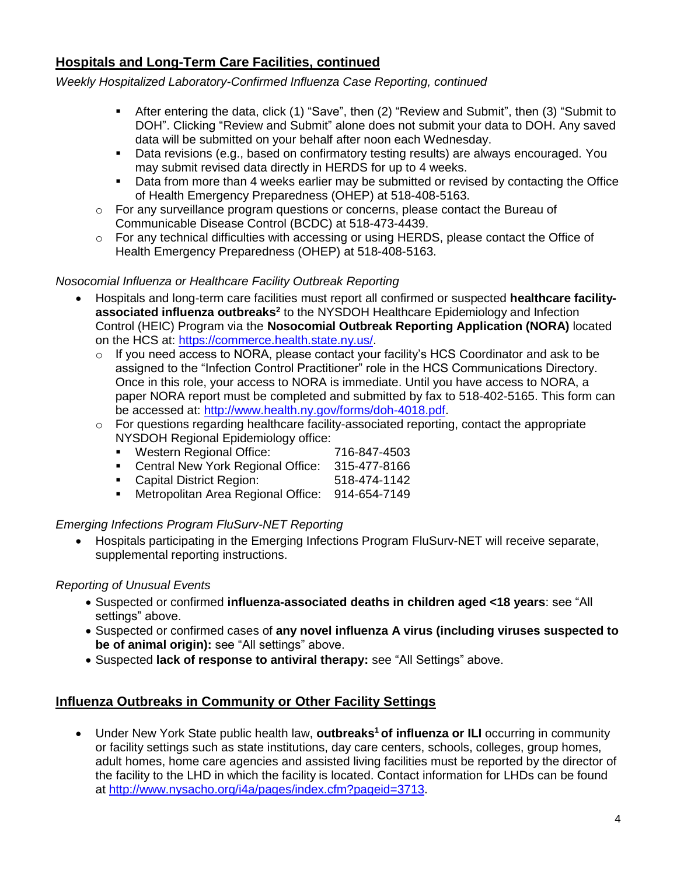## **Hospitals and Long-Term Care Facilities, continued**

*Weekly Hospitalized Laboratory-Confirmed Influenza Case Reporting, continued*

- **E** After entering the data, click (1) "Save", then (2) "Review and Submit", then (3) "Submit to DOH". Clicking "Review and Submit" alone does not submit your data to DOH. Any saved data will be submitted on your behalf after noon each Wednesday.
- Data revisions (e.g., based on confirmatory testing results) are always encouraged. You may submit revised data directly in HERDS for up to 4 weeks.
- **•** Data from more than 4 weeks earlier may be submitted or revised by contacting the Office of Health Emergency Preparedness (OHEP) at 518-408-5163.
- o For any surveillance program questions or concerns, please contact the Bureau of Communicable Disease Control (BCDC) at 518-473-4439.
- $\circ$  For any technical difficulties with accessing or using HERDS, please contact the Office of Health Emergency Preparedness (OHEP) at 518-408-5163.

### <span id="page-3-0"></span>*Nosocomial Influenza or Healthcare Facility Outbreak Reporting*

- Hospitals and long-term care facilities must report all confirmed or suspected **healthcare facilityassociated influenza outbreaks 2** to the NYSDOH Healthcare Epidemiology and Infection Control (HEIC) Program via the **Nosocomial Outbreak Reporting Application (NORA)** located on the HCS at: [https://commerce.health.state.ny.us/.](https://commerce.health.state.ny.us/)
	- o If you need access to NORA, please contact your facility's HCS Coordinator and ask to be assigned to the "Infection Control Practitioner" role in the HCS Communications Directory. Once in this role, your access to NORA is immediate. Until you have access to NORA, a paper NORA report must be completed and submitted by fax to 518-402-5165. This form can be accessed at: [http://www.health.ny.gov/forms/doh-4018.pdf.](http://www.health.ny.gov/forms/doh-4018.pdf)
	- $\circ$  For questions regarding healthcare facility-associated reporting, contact the appropriate NYSDOH Regional Epidemiology office:
		- Western Regional Office: 716-847-4503
		- Central New York Regional Office: 315-477-8166
		- Capital District Region: 518-474-1142
		- Metropolitan Area Regional Office: 914-654-7149

#### <span id="page-3-1"></span>*Emerging Infections Program FluSurv-NET Reporting*

• Hospitals participating in the Emerging Infections Program FluSurv-NET will receive separate, supplemental reporting instructions.

#### <span id="page-3-2"></span>*Reporting of Unusual Events*

- Suspected or confirmed **influenza-associated deaths in children aged <18 years**: see "All settings" above.
- Suspected or confirmed cases of **any novel influenza A virus (including viruses suspected to be of animal origin):** see "All settings" above.
- Suspected **lack of response to antiviral therapy:** see "All Settings" above.

### <span id="page-3-3"></span>**Influenza Outbreaks in Community or Other Facility Settings**

• Under New York State public health law, **outbreaks<sup>1</sup> of influenza or ILI** occurring in community or facility settings such as state institutions, day care centers, schools, colleges, group homes, adult homes, home care agencies and assisted living facilities must be reported by the director of the facility to the LHD in which the facility is located. Contact information for LHDs can be found at [http://www.nysacho.org/i4a/pages/index.cfm?pageid=3713.](http://www.nysacho.org/i4a/pages/index.cfm?pageid=3713)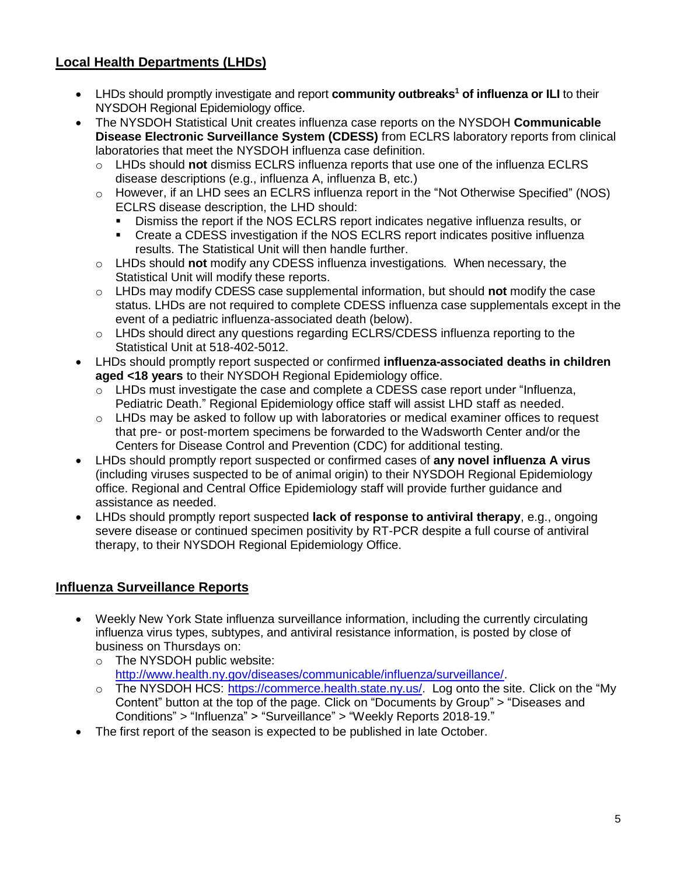# <span id="page-4-0"></span>**Local Health Departments (LHDs)**

- LHDs should promptly investigate and report **community outbreak[s](#page-1-3)<sup>1</sup> of influenza or ILI** to their NYSDOH Regional Epidemiology office.
- The NYSDOH Statistical Unit creates influenza case reports on the NYSDOH **Communicable Disease Electronic Surveillance System (CDESS)** from ECLRS laboratory reports from clinical laboratories that meet the NYSDOH influenza case definition.
	- o LHDs should **not** dismiss ECLRS influenza reports that use one of the influenza ECLRS disease descriptions (e.g., influenza A, influenza B, etc.)
	- $\circ$  However, if an LHD sees an ECLRS influenza report in the "Not Otherwise Specified" (NOS) ECLRS disease description, the LHD should:
		- Dismiss the report if the NOS ECLRS report indicates negative influenza results, or
		- Create a CDESS investigation if the NOS ECLRS report indicates positive influenza results. The Statistical Unit will then handle further.
	- o LHDs should **not** modify any CDESS influenza investigations*.* When necessary, the Statistical Unit will modify these reports.
	- o LHDs may modify CDESS case supplemental information, but should **not** modify the case status. LHDs are not required to complete CDESS influenza case supplementals except in the event of a pediatric influenza-associated death (below).
	- $\circ$  LHDs should direct any questions regarding ECLRS/CDESS influenza reporting to the Statistical Unit at 518-402-5012.
- LHDs should promptly report suspected or confirmed **influenza-associated deaths in children aged <18 years** to their NYSDOH Regional Epidemiology office.
	- $\circ$  LHDs must investigate the case and complete a CDESS case report under "Influenza, Pediatric Death." Regional Epidemiology office staff will assist LHD staff as needed.
	- o LHDs may be asked to follow up with laboratories or medical examiner offices to request that pre- or post-mortem specimens be forwarded to the Wadsworth Center and/or the Centers for Disease Control and Prevention (CDC) for additional testing.
- LHDs should promptly report suspected or confirmed cases of **any novel influenza A virus**  (including viruses suspected to be of animal origin) to their NYSDOH Regional Epidemiology office. Regional and Central Office Epidemiology staff will provide further guidance and assistance as needed.
- LHDs should promptly report suspected **lack of response to antiviral therapy**, e.g., ongoing severe disease or continued specimen positivity by RT-PCR despite a full course of antiviral therapy, to their NYSDOH Regional Epidemiology Office.

## <span id="page-4-1"></span>**Influenza Surveillance Reports**

- Weekly New York State influenza surveillance information, including the currently circulating influenza virus types, subtypes, and antiviral resistance information, is posted by close of business on Thursdays on:
	- o The NYSDOH public website: [http://www.health.ny.gov/diseases/communicable/influenza/surveillance/.](http://www.health.ny.gov/diseases/communicable/influenza/surveillance/)
	- o The NYSDOH HCS: [https://commerce.health.state.ny.us/. L](https://commerce.health.state.ny.us/)og onto the site. Click on the "My Content" button at the top of the page. Click on "Documents by Group" > "Diseases and Conditions" > "Influenza" > "Surveillance" > "Weekly Reports 2018-19."
- The first report of the season is expected to be published in late October.